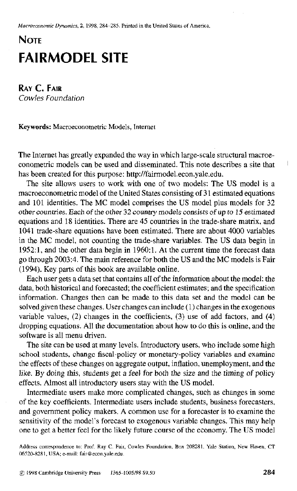Macroeconomic Dynamics, 2, 1998, 284-285. Printed in the United States of America,

## **NOTE FAIRMODEL SITE**

**RAY C. FAIR Cow/es** *Founc/ation* 

Keywords: Macroeconometric Models, lntemet

The Internet has greatly expanded the way in which large-scale structural macroeconometric models can be used and disseminated. This note describes a site that has been created for this purpose: http://fairmodel.econ.yale.edu.

The site allows users to work with one of two models: The US model is a macroeconometric model of the United States consisting of 31 estimated equations and 101 identities. The MC model comprises the US model plus models for 32 other countries. Each of the other 32 country models consists of up to 15 estimated equations and 18 identities. There are 45 countries in the trade-share matrix, and 1041 trade-share equations have been estimated. There are about 4000 variables in the MC model, not counting the trade-share variables. The US data begin in  $1952:1$ , and the other data begin in  $1960:1$ . At the current time the forecast data go through 2003:4. The main reference for both the US and the MC models is Fair (1994). Key parts of this book are available online.

Each user gets a data set that contains all of the information about the model: the data, both historical and forecasted; the coefficient estimates; and the specification information. Changes then can be made to this data set and the model can be solved given these changes. User changes can include (1) changes in the exogenous variable values, (2) changes in the coefficients, (3) use of add factors, and (4) dropping equations. All the documentation about how to do this is online, and the software is all menu driven.

The site can be used at many levels. Introductory users, who include some high school students, change fiscal-policy or monetary-policy variables and examine the effects of these changes on aggregate output, inflation, unemployment, and the like. By doing this, students get a feel for both the size and the timing of policy effects. Almost all introductory users stay with the US model.

Intermediate users make more complicated changes, such as changes in some of the key coefficients. Intermediate users include students, business forecasters, and government policy makers. A common use for a forecaster is to examine the sensitivity of the model's forecast to exogenous variable changes. This may help one to get a better feel for the likely future course of the economy. The US model

Address correspondence to: Prof. Ray C. Fair, Cowles Foundation, Box 208281, Yale Station, New Haven, CT 06520-8281, USA; e-mail: fair@econ.yale.edu.